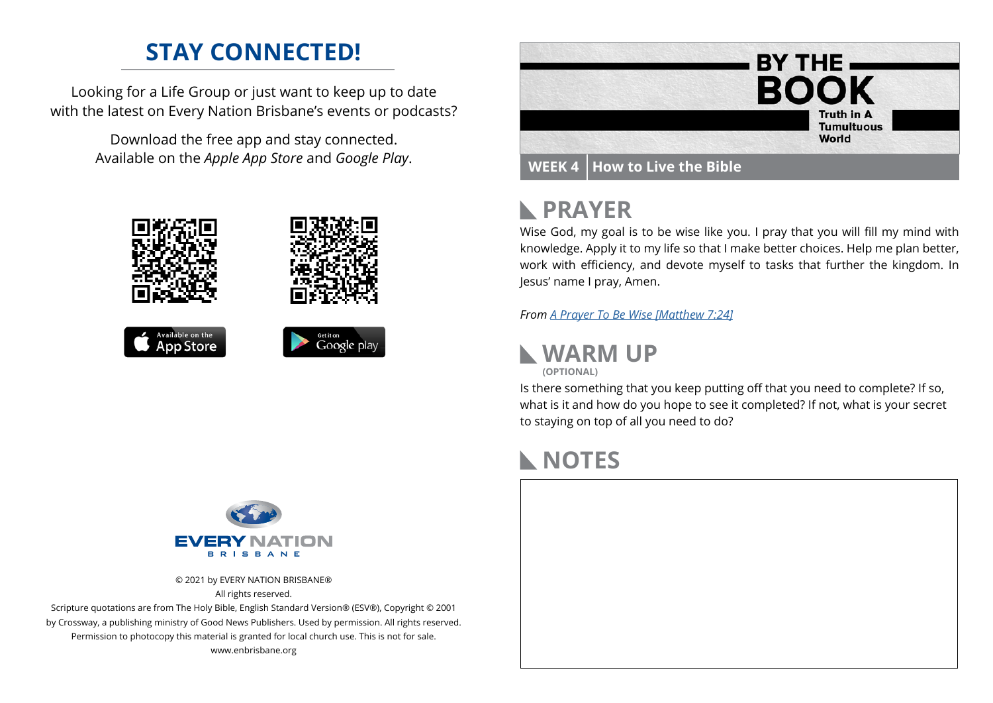## **STAY CONNECTED!**

Looking for a Life Group or just want to keep up to date with the latest on Every Nation Brisbane's events or podcasts?

> Download the free app and stay connected. Available on the *Apple App Store* and *Google Play*.





# **PRAYER**

Wise God, my goal is to be wise like you. I pray that you will fill my mind with knowledge. Apply it to my life so that I make better choices. Help me plan better, work with efficiency, and devote myself to tasks that further the kingdom. In Jesus' name I pray, Amen.

*From [A Prayer To Be Wise \[Matthew 7:24\]](https://dailyprayerguide.net/)*



**(OPTIONAL)**

Is there something that you keep putting off that you need to complete? If so, what is it and how do you hope to see it completed? If not, what is your secret to staying on top of all you need to do?

## **NOTES**





© 2021 by EVERY NATION BRISBANE® All rights reserved.

Scripture quotations are from The Holy Bible, English Standard Version® (ESV®), Copyright © 2001 by Crossway, a publishing ministry of Good News Publishers. Used by permission. All rights reserved. Permission to photocopy this material is granted for local church use. This is not for sale. www.enbrisbane.org